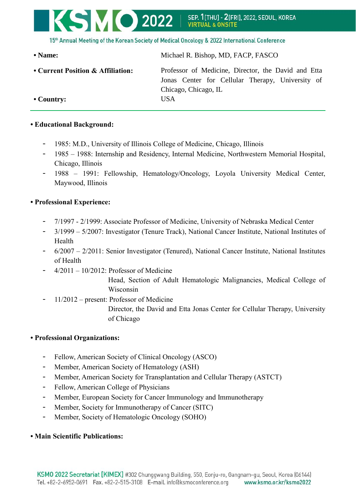

15th Annual Meeting of the Korean Society of Medical Oncology & 2022 International Conference

**• Name:** Michael R. Bishop, MD, FACP, FASCO **• Current Position & Affiliation:** Professor of Medicine, Director, the David and Etta Jonas Center for Cellular Therapy, University of Chicago, Chicago, IL **• Country:** USA

## **• Educational Background:**

- 1985: M.D., University of Illinois College of Medicine, Chicago, Illinois
- 1985 1988: Internship and Residency, Internal Medicine, Northwestern Memorial Hospital, Chicago, Illinois
- 1988 1991: Fellowship, Hematology/Oncology, Loyola University Medical Center, Maywood, Illinois

## **• Professional Experience:**

- 7/1997 2/1999: Associate Professor of Medicine, University of Nebraska Medical Center
- 3/1999 5/2007: Investigator (Tenure Track), National Cancer Institute, National Institutes of Health
- 6/2007 2/2011: Senior Investigator (Tenured), National Cancer Institute, National Institutes of Health
- $4/2011 10/2012$ : Professor of Medicine

Head, Section of Adult Hematologic Malignancies, Medical College of Wisconsin

- 11/2012 – present: Professor of Medicine

Director, the David and Etta Jonas Center for Cellular Therapy, University of Chicago

## **• Professional Organizations:**

- Fellow, American Society of Clinical Oncology (ASCO)
- Member, American Society of Hematology (ASH)
- Member, American Society for Transplantation and Cellular Therapy (ASTCT)
- Fellow, American College of Physicians
- Member, European Society for Cancer Immunology and Immunotherapy
- Member, Society for Immunotherapy of Cancer (SITC)
- Member, Society of Hematologic Oncology (SOHO)

## **• Main Scientific Publications:**